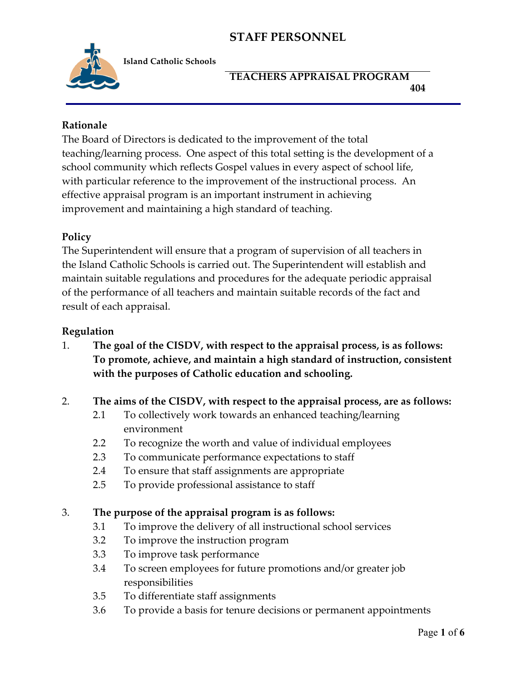

**Island Catholic Schools** 

### **TEACHERS APPRAISAL PROGRAM 404**

### **Rationale**

The Board of Directors is dedicated to the improvement of the total teaching/learning process. One aspect of this total setting is the development of a school community which reflects Gospel values in every aspect of school life, with particular reference to the improvement of the instructional process. An effective appraisal program is an important instrument in achieving improvement and maintaining a high standard of teaching.

#### **Policy**

The Superintendent will ensure that a program of supervision of all teachers in the Island Catholic Schools is carried out. The Superintendent will establish and maintain suitable regulations and procedures for the adequate periodic appraisal of the performance of all teachers and maintain suitable records of the fact and result of each appraisal.

#### **Regulation**

1. **The goal of the CISDV, with respect to the appraisal process, is as follows: To promote, achieve, and maintain a high standard of instruction, consistent with the purposes of Catholic education and schooling.**

#### 2. **The aims of the CISDV, with respect to the appraisal process, are as follows:**

- 2.1 To collectively work towards an enhanced teaching/learning environment
- 2.2 To recognize the worth and value of individual employees
- 2.3 To communicate performance expectations to staff
- 2.4 To ensure that staff assignments are appropriate
- 2.5 To provide professional assistance to staff

#### 3. **The purpose of the appraisal program is as follows:**

- 3.1 To improve the delivery of all instructional school services
- 3.2 To improve the instruction program
- 3.3 To improve task performance
- 3.4 To screen employees for future promotions and/or greater job responsibilities
- 3.5 To differentiate staff assignments
- 3.6 To provide a basis for tenure decisions or permanent appointments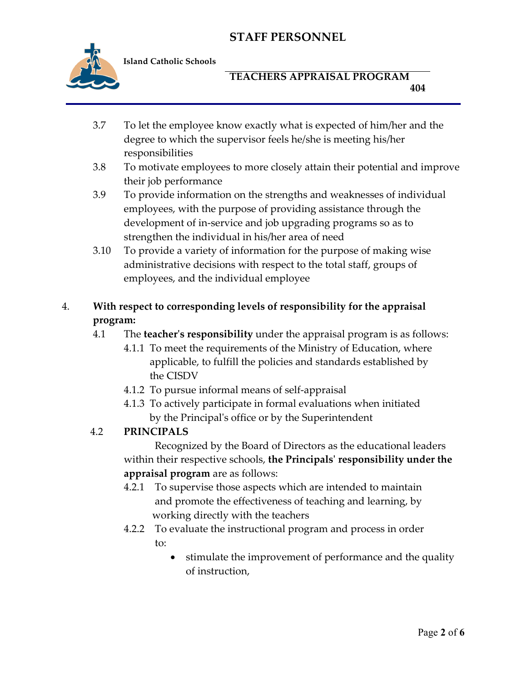

**Island Catholic Schools** 

## **TEACHERS APPRAISAL PROGRAM 404**

- 3.7 To let the employee know exactly what is expected of him/her and the degree to which the supervisor feels he/she is meeting his/her responsibilities
- 3.8 To motivate employees to more closely attain their potential and improve their job performance
- 3.9 To provide information on the strengths and weaknesses of individual employees, with the purpose of providing assistance through the development of in-service and job upgrading programs so as to strengthen the individual in his/her area of need
- 3.10 To provide a variety of information for the purpose of making wise administrative decisions with respect to the total staff, groups of employees, and the individual employee

# 4. **With respect to corresponding levels of responsibility for the appraisal program:**

- 4.1 The **teacher's responsibility** under the appraisal program is as follows:
	- 4.1.1To meet the requirements of the Ministry of Education, where applicable, to fulfill the policies and standards established by the CISDV
	- 4.1.2 To pursue informal means of self-appraisal
	- 4.1.3 To actively participate in formal evaluations when initiated by the Principal's office or by the Superintendent

# 4.2 **PRINCIPALS**

Recognized by the Board of Directors as the educational leaders within their respective schools, **the Principals' responsibility under the appraisal program** are as follows:

- 4.2.1 To supervise those aspects which are intended to maintain and promote the effectiveness of teaching and learning, by working directly with the teachers
- 4.2.2 To evaluate the instructional program and process in order to:
	- stimulate the improvement of performance and the quality of instruction,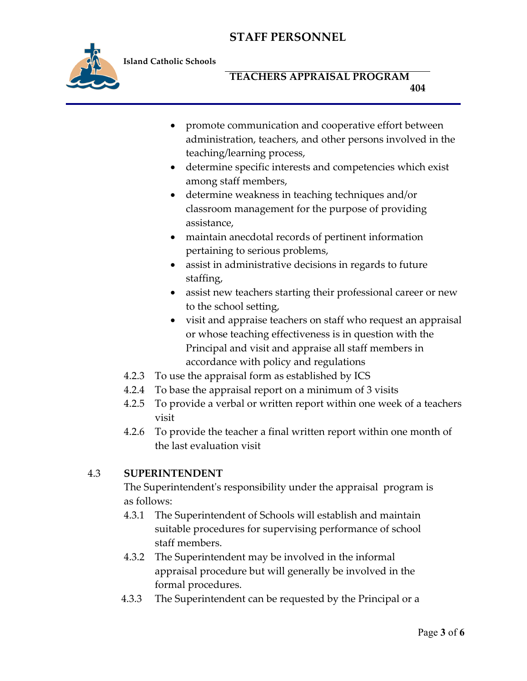

**Island Catholic Schools** 

## **TEACHERS APPRAISAL PROGRAM 404**

- promote communication and cooperative effort between administration, teachers, and other persons involved in the teaching/learning process,
- determine specific interests and competencies which exist among staff members,
- determine weakness in teaching techniques and/or classroom management for the purpose of providing assistance,
- maintain anecdotal records of pertinent information pertaining to serious problems,
- assist in administrative decisions in regards to future staffing,
- assist new teachers starting their professional career or new to the school setting,
- visit and appraise teachers on staff who request an appraisal or whose teaching effectiveness is in question with the Principal and visit and appraise all staff members in accordance with policy and regulations
- 4.2.3 To use the appraisal form as established by ICS
- 4.2.4 To base the appraisal report on a minimum of 3 visits
- 4.2.5 To provide a verbal or written report within one week of a teachers visit
- 4.2.6 To provide the teacher a final written report within one month of the last evaluation visit

# 4.3 **SUPERINTENDENT**

The Superintendent's responsibility under the appraisal program is as follows:

- 4.3.1 The Superintendent of Schools will establish and maintain suitable procedures for supervising performance of school staff members.
- 4.3.2 The Superintendent may be involved in the informal appraisal procedure but will generally be involved in the formal procedures.
- 4.3.3 The Superintendent can be requested by the Principal or a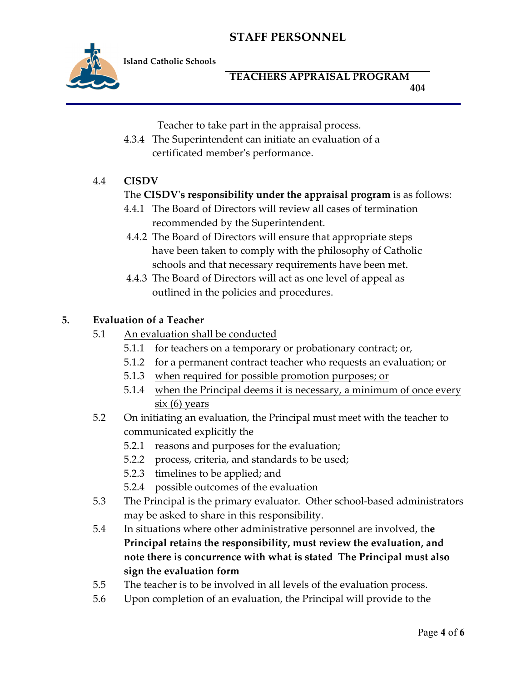

**Island Catholic Schools** 

### **TEACHERS APPRAISAL PROGRAM 404**

Teacher to take part in the appraisal process.

4.3.4 The Superintendent can initiate an evaluation of a certificated member's performance.

## 4.4 **CISDV**

### The **CISDV's responsibility under the appraisal program** is as follows:

- 4.4.1 The Board of Directors will review all cases of termination recommended by the Superintendent.
- 4.4.2 The Board of Directors will ensure that appropriate steps have been taken to comply with the philosophy of Catholic schools and that necessary requirements have been met.
- 4.4.3 The Board of Directors will act as one level of appeal as outlined in the policies and procedures.

#### **5. Evaluation of a Teacher**

- 5.1 An evaluation shall be conducted
	- 5.1.1 for teachers on a temporary or probationary contract; or,
	- 5.1.2 for a permanent contract teacher who requests an evaluation; or
	- 5.1.3 when required for possible promotion purposes; or
	- 5.1.4 when the Principal deems it is necessary, a minimum of once every six (6) years
- 5.2 On initiating an evaluation, the Principal must meet with the teacher to communicated explicitly the
	- 5.2.1 reasons and purposes for the evaluation;
	- 5.2.2 process, criteria, and standards to be used;
	- 5.2.3 timelines to be applied; and
	- 5.2.4 possible outcomes of the evaluation
- 5.3 The Principal is the primary evaluator. Other school-based administrators may be asked to share in this responsibility.
- 5.4 In situations where other administrative personnel are involved, th**e Principal retains the responsibility, must review the evaluation, and note there is concurrence with what is stated The Principal must also sign the evaluation form**
- 5.5 The teacher is to be involved in all levels of the evaluation process.
- 5.6 Upon completion of an evaluation, the Principal will provide to the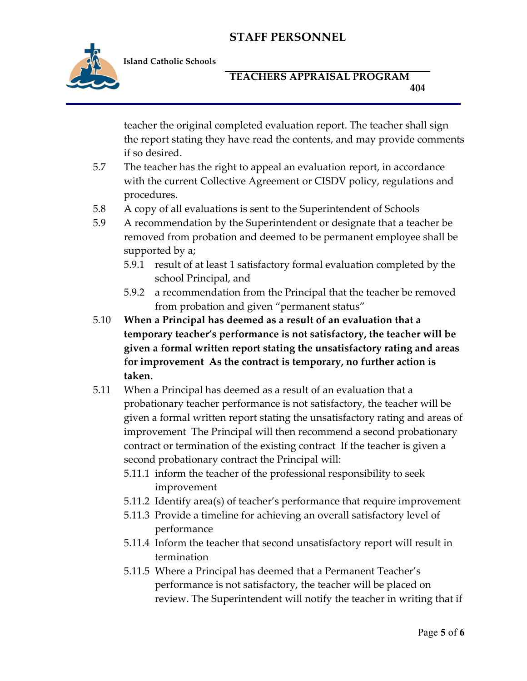

**Island Catholic Schools** 

### **TEACHERS APPRAISAL PROGRAM 404**

teacher the original completed evaluation report. The teacher shall sign the report stating they have read the contents, and may provide comments if so desired.

- 5.7 The teacher has the right to appeal an evaluation report, in accordance with the current Collective Agreement or CISDV policy, regulations and procedures.
- 5.8 A copy of all evaluations is sent to the Superintendent of Schools
- 5.9 A recommendation by the Superintendent or designate that a teacher be removed from probation and deemed to be permanent employee shall be supported by a;
	- 5.9.1 result of at least 1 satisfactory formal evaluation completed by the school Principal, and
	- 5.9.2 a recommendation from the Principal that the teacher be removed from probation and given "permanent status"
- 5.10 **When a Principal has deemed as a result of an evaluation that a temporary teacher's performance is not satisfactory, the teacher will be given a formal written report stating the unsatisfactory rating and areas for improvement As the contract is temporary, no further action is taken.**
- 5.11 When a Principal has deemed as a result of an evaluation that a probationary teacher performance is not satisfactory, the teacher will be given a formal written report stating the unsatisfactory rating and areas of improvement The Principal will then recommend a second probationary contract or termination of the existing contract If the teacher is given a second probationary contract the Principal will:
	- 5.11.1 inform the teacher of the professional responsibility to seek improvement
	- 5.11.2 Identify area(s) of teacher's performance that require improvement
	- 5.11.3 Provide a timeline for achieving an overall satisfactory level of performance
	- 5.11.4 Inform the teacher that second unsatisfactory report will result in termination
	- 5.11.5 Where a Principal has deemed that a Permanent Teacher's performance is not satisfactory, the teacher will be placed on review. The Superintendent will notify the teacher in writing that if